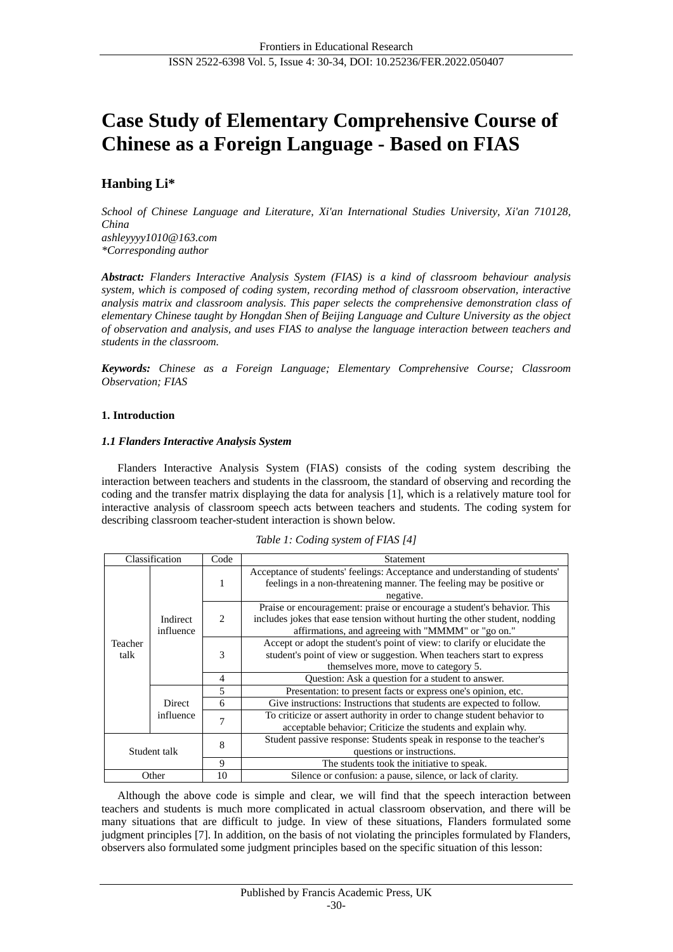# **Case Study of Elementary Comprehensive Course of Chinese as a Foreign Language - Based on FIAS**

## **Hanbing Li\***

*School of Chinese Language and Literature, Xi'an International Studies University, Xi'an 710128, China ashleyyyy1010@163.com \*Corresponding author*

*Abstract: Flanders Interactive Analysis System (FIAS) is a kind of classroom behaviour analysis system, which is composed of coding system, recording method of classroom observation, interactive analysis matrix and classroom analysis. This paper selects the comprehensive demonstration class of elementary Chinese taught by Hongdan Shen of Beijing Language and Culture University as the object of observation and analysis, and uses FIAS to analyse the language interaction between teachers and students in the classroom.*

*Keywords: Chinese as a Foreign Language; Elementary Comprehensive Course; Classroom Observation; FIAS*

## **1. Introduction**

## *1.1 Flanders Interactive Analysis System*

Flanders Interactive Analysis System (FIAS) consists of the coding system describing the interaction between teachers and students in the classroom, the standard of observing and recording the coding and the transfer matrix displaying the data for analysis [1], which is a relatively mature tool for interactive analysis of classroom speech acts between teachers and students. The coding system for describing classroom teacher-student interaction is shown below.

| Classification |                            | Code                               | Statement                                                                                                                                           |  |  |  |  |  |  |
|----------------|----------------------------|------------------------------------|-----------------------------------------------------------------------------------------------------------------------------------------------------|--|--|--|--|--|--|
|                |                            |                                    | Acceptance of students' feelings: Acceptance and understanding of students'<br>feelings in a non-threatening manner. The feeling may be positive or |  |  |  |  |  |  |
|                | Indirect<br>influence      |                                    | negative.                                                                                                                                           |  |  |  |  |  |  |
|                |                            | $\mathfrak{D}_{\mathfrak{p}}$<br>3 | Praise or encouragement: praise or encourage a student's behavior. This                                                                             |  |  |  |  |  |  |
|                |                            |                                    | includes jokes that ease tension without hurting the other student, nodding                                                                         |  |  |  |  |  |  |
|                |                            |                                    | affirmations, and agreeing with "MMMM" or "go on."                                                                                                  |  |  |  |  |  |  |
| Teacher        |                            |                                    | Accept or adopt the student's point of view: to clarify or elucidate the                                                                            |  |  |  |  |  |  |
| talk           |                            |                                    | student's point of view or suggestion. When teachers start to express                                                                               |  |  |  |  |  |  |
|                |                            |                                    | themselves more, move to category 5.                                                                                                                |  |  |  |  |  |  |
|                |                            | $\overline{4}$                     | Question: Ask a question for a student to answer.                                                                                                   |  |  |  |  |  |  |
|                |                            | 5                                  | Presentation: to present facts or express one's opinion, etc.                                                                                       |  |  |  |  |  |  |
|                | <b>Direct</b><br>influence | 6                                  | Give instructions: Instructions that students are expected to follow.                                                                               |  |  |  |  |  |  |
|                |                            | 7                                  | To criticize or assert authority in order to change student behavior to                                                                             |  |  |  |  |  |  |
|                |                            |                                    | acceptable behavior; Criticize the students and explain why.                                                                                        |  |  |  |  |  |  |
| Student talk   |                            | 8                                  | Student passive response: Students speak in response to the teacher's                                                                               |  |  |  |  |  |  |
|                |                            |                                    | questions or instructions.                                                                                                                          |  |  |  |  |  |  |
|                |                            | 9                                  | The students took the initiative to speak.                                                                                                          |  |  |  |  |  |  |
| Other          |                            | 10                                 | Silence or confusion: a pause, silence, or lack of clarity.                                                                                         |  |  |  |  |  |  |

Although the above code is simple and clear, we will find that the speech interaction between teachers and students is much more complicated in actual classroom observation, and there will be many situations that are difficult to judge. In view of these situations, Flanders formulated some judgment principles [7]. In addition, on the basis of not violating the principles formulated by Flanders, observers also formulated some judgment principles based on the specific situation of this lesson: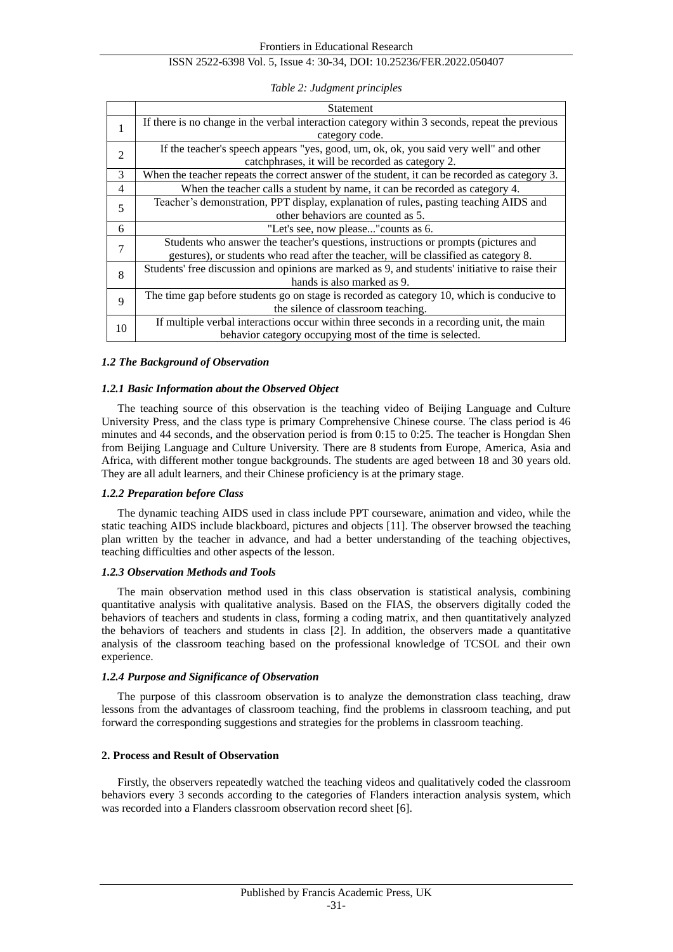## ISSN 2522-6398 Vol. 5, Issue 4: 30-34, DOI: 10.25236/FER.2022.050407

*Table 2: Judgment principles*

|    | Statement                                                                                       |
|----|-------------------------------------------------------------------------------------------------|
| 1  | If there is no change in the verbal interaction category within 3 seconds, repeat the previous  |
|    | category code.                                                                                  |
| 2  | If the teacher's speech appears "yes, good, um, ok, ok, you said very well" and other           |
|    | catchphrases, it will be recorded as category 2.                                                |
| 3  | When the teacher repeats the correct answer of the student, it can be recorded as category 3.   |
| 4  | When the teacher calls a student by name, it can be recorded as category 4.                     |
| 5  | Teacher's demonstration, PPT display, explanation of rules, pasting teaching AIDS and           |
|    | other behaviors are counted as 5.                                                               |
| 6  | "Let's see, now please" counts as 6.                                                            |
| 7  | Students who answer the teacher's questions, instructions or prompts (pictures and              |
|    | gestures), or students who read after the teacher, will be classified as category 8.            |
| 8  | Students' free discussion and opinions are marked as 9, and students' initiative to raise their |
|    | hands is also marked as 9.                                                                      |
| 9  | The time gap before students go on stage is recorded as category 10, which is conducive to      |
|    | the silence of classroom teaching.                                                              |
| 10 | If multiple verbal interactions occur within three seconds in a recording unit, the main        |
|    | behavior category occupying most of the time is selected.                                       |

## *1.2 The Background of Observation*

## *1.2.1 Basic Information about the Observed Object*

The teaching source of this observation is the teaching video of Beijing Language and Culture University Press, and the class type is primary Comprehensive Chinese course. The class period is 46 minutes and 44 seconds, and the observation period is from 0:15 to 0:25. The teacher is Hongdan Shen from Beijing Language and Culture University. There are 8 students from Europe, America, Asia and Africa, with different mother tongue backgrounds. The students are aged between 18 and 30 years old. They are all adult learners, and their Chinese proficiency is at the primary stage.

## *1.2.2 Preparation before Class*

The dynamic teaching AIDS used in class include PPT courseware, animation and video, while the static teaching AIDS include blackboard, pictures and objects [11]. The observer browsed the teaching plan written by the teacher in advance, and had a better understanding of the teaching objectives, teaching difficulties and other aspects of the lesson.

## *1.2.3 Observation Methods and Tools*

The main observation method used in this class observation is statistical analysis, combining quantitative analysis with qualitative analysis. Based on the FIAS, the observers digitally coded the behaviors of teachers and students in class, forming a coding matrix, and then quantitatively analyzed the behaviors of teachers and students in class [2]. In addition, the observers made a quantitative analysis of the classroom teaching based on the professional knowledge of TCSOL and their own experience.

#### *1.2.4 Purpose and Significance of Observation*

The purpose of this classroom observation is to analyze the demonstration class teaching, draw lessons from the advantages of classroom teaching, find the problems in classroom teaching, and put forward the corresponding suggestions and strategies for the problems in classroom teaching.

## **2. Process and Result of Observation**

Firstly, the observers repeatedly watched the teaching videos and qualitatively coded the classroom behaviors every 3 seconds according to the categories of Flanders interaction analysis system, which was recorded into a Flanders classroom observation record sheet [6].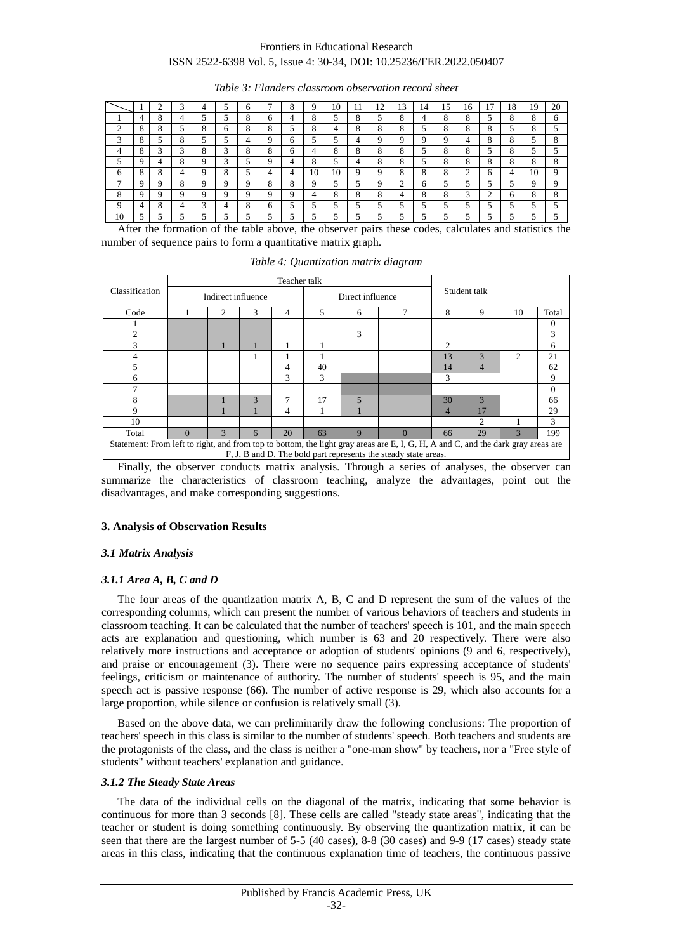#### Frontiers in Educational Research

## ISSN 2522-6398 Vol. 5, Issue 4: 30-34, DOI: 10.25236/FER.2022.050407

|          |                    |   | 3 | 4   |                 | <sub>6</sub> |                       | 8 | 9       | 10 | 11      | 12         | 13                 | 14 | 15                 | 16 |                       | 18           | 19                    | 20           |
|----------|--------------------|---|---|-----|-----------------|--------------|-----------------------|---|---------|----|---------|------------|--------------------|----|--------------------|----|-----------------------|--------------|-----------------------|--------------|
|          | 4                  | 8 | 4 |     |                 | 8            | 6                     | 4 | 8       | ς  | o<br>Δ. | $\epsilon$ | 8                  | 4  | 8                  | 8  | $\overline{a}$        | $\circ$<br>Ω | 8                     | <sub>6</sub> |
| ◠        | 8                  | 8 |   | 8   | 6               | 8            |                       |   | o<br>O. | 4  | 8       | 8          | 8                  |    | $\circ$<br>$\circ$ | 8  | o<br>$\circ$          |              | $\circ$<br>ົ          |              |
| 3        | $\circ$<br>$\circ$ |   | 8 | . . |                 | 4            | Q                     | 6 |         | ς  | 4       | Q          | 9                  | 9  | 9                  | 4  | $\circ$<br>ŏ          | o<br>ō       |                       | 8            |
| 4        | 8                  | 3 | 3 | 8   | 3               | 8            | $\circ$<br>$^{\circ}$ | 6 | 4       | 8  | 8       | 8          | 8                  | 5  | 8                  | 8  | 5                     | 8            |                       |              |
|          | 9                  |   | 8 | a   | ◠               |              | Q                     | 4 | 8       | c  | 4       | 8          | 8                  |    | $\circ$<br>Ō       | 8  | $\circ$<br>$^{\circ}$ | o<br>ō       | $\circ$<br>$^{\circ}$ | 8            |
| 6        | 8                  | 8 | 4 | 9   | o<br>$^{\circ}$ |              | 4                     | 4 | 10      | 10 | 9       | 9          | 8                  | 8  | $\circ$<br>Ō       | ◠  | 6                     | 4            | 10                    | 9            |
| ,        | 9                  | 9 | 8 | 9   | 9               | 9            | 8                     | 8 | 9       | 5  | 5       | 9          | ↑<br>$\mathcal{L}$ | 6  | 5                  | 5  | 5                     |              | Q                     | 9            |
| 8        | 9                  | Q | Q | a   | u               | Q            | Q                     | Q | 4       | 8  | 8       | 8          | 4                  | 8  | $\circ$<br>δ       | 3  | ◠<br>∠                | 6            | 8                     | 8            |
| $\Omega$ | 4                  | 8 | 4 | 3   | 4               | 8            | 6                     |   |         |    |         | ς          | 5                  | ς  |                    |    |                       |              |                       |              |
| 10       | 5.                 |   |   | 5   | 5               |              |                       | 5 | 5.      | 5  | 5       | 5          | 5                  | 5  | 5                  | 5  | 5                     |              |                       |              |

*Table 3: Flanders classroom observation record sheet*

After the formation of the table above, the observer pairs these codes, calculates and statistics the number of sequence pairs to form a quantitative matrix graph.

| Classification                                                                                                                                                                                      |             |                    |               |    |    |                  |          |                |                |                             |          |
|-----------------------------------------------------------------------------------------------------------------------------------------------------------------------------------------------------|-------------|--------------------|---------------|----|----|------------------|----------|----------------|----------------|-----------------------------|----------|
|                                                                                                                                                                                                     |             | Indirect influence |               |    |    | Direct influence |          |                | Student talk   |                             |          |
| Code                                                                                                                                                                                                | 3<br>2<br>4 |                    |               |    | 5  | 6                | 7        | 8              | 9              | 10                          | Total    |
|                                                                                                                                                                                                     |             |                    |               |    |    |                  |          |                |                |                             | $\theta$ |
| $\mathfrak{D}$                                                                                                                                                                                      |             |                    |               |    |    | 3                |          |                |                |                             | 3        |
| 3                                                                                                                                                                                                   |             |                    |               |    |    |                  |          | $\mathfrak{D}$ |                |                             | 6        |
| 4                                                                                                                                                                                                   |             |                    |               |    |    |                  |          | 13             | $\mathbf{3}$   | $\mathcal{D}_{\mathcal{L}}$ | 21       |
| 5                                                                                                                                                                                                   |             |                    |               | 4  | 40 |                  |          | 14             | $\overline{4}$ |                             | 62       |
| 6                                                                                                                                                                                                   |             |                    |               | 3  | 3  |                  |          | 3              |                |                             | 9        |
| 7                                                                                                                                                                                                   |             |                    |               |    |    |                  |          |                |                |                             | $\Omega$ |
| 8                                                                                                                                                                                                   |             |                    | $\mathcal{R}$ | 7  | 17 | 5                |          | 30             | $\mathbf{3}$   |                             | 66       |
| 9                                                                                                                                                                                                   |             |                    |               | 4  |    |                  |          | 4              | 17             |                             | 29       |
| 10                                                                                                                                                                                                  |             |                    |               |    |    |                  |          |                | $\mathfrak{D}$ |                             | 3        |
| Total                                                                                                                                                                                               | $\Omega$    | $\mathcal{R}$      | 6             | 20 | 63 | 9                | $\Omega$ | 66             | 29             | 3                           | 199      |
| Statement: From left to right, and from top to bottom, the light gray areas are E, I, G, H, A and C, and the dark gray areas are<br>F, J, B and D. The bold part represents the steady state areas. |             |                    |               |    |    |                  |          |                |                |                             |          |

*Table 4: Quantization matrix diagram*

Finally, the observer conducts matrix analysis. Through a series of analyses, the observer can summarize the characteristics of classroom teaching, analyze the advantages, point out the disadvantages, and make corresponding suggestions.

#### **3. Analysis of Observation Results**

#### *3.1 Matrix Analysis*

#### *3.1.1 Area A, B, C and D*

The four areas of the quantization matrix A, B, C and D represent the sum of the values of the corresponding columns, which can present the number of various behaviors of teachers and students in classroom teaching. It can be calculated that the number of teachers' speech is 101, and the main speech acts are explanation and questioning, which number is 63 and 20 respectively. There were also relatively more instructions and acceptance or adoption of students' opinions (9 and 6, respectively), and praise or encouragement (3). There were no sequence pairs expressing acceptance of students' feelings, criticism or maintenance of authority. The number of students' speech is 95, and the main speech act is passive response (66). The number of active response is 29, which also accounts for a large proportion, while silence or confusion is relatively small (3).

Based on the above data, we can preliminarily draw the following conclusions: The proportion of teachers' speech in this class is similar to the number of students' speech. Both teachers and students are the protagonists of the class, and the class is neither a "one-man show" by teachers, nor a "Free style of students" without teachers' explanation and guidance.

#### *3.1.2 The Steady State Areas*

The data of the individual cells on the diagonal of the matrix, indicating that some behavior is continuous for more than 3 seconds [8]. These cells are called "steady state areas", indicating that the teacher or student is doing something continuously. By observing the quantization matrix, it can be seen that there are the largest number of 5-5 (40 cases), 8-8 (30 cases) and 9-9 (17 cases) steady state areas in this class, indicating that the continuous explanation time of teachers, the continuous passive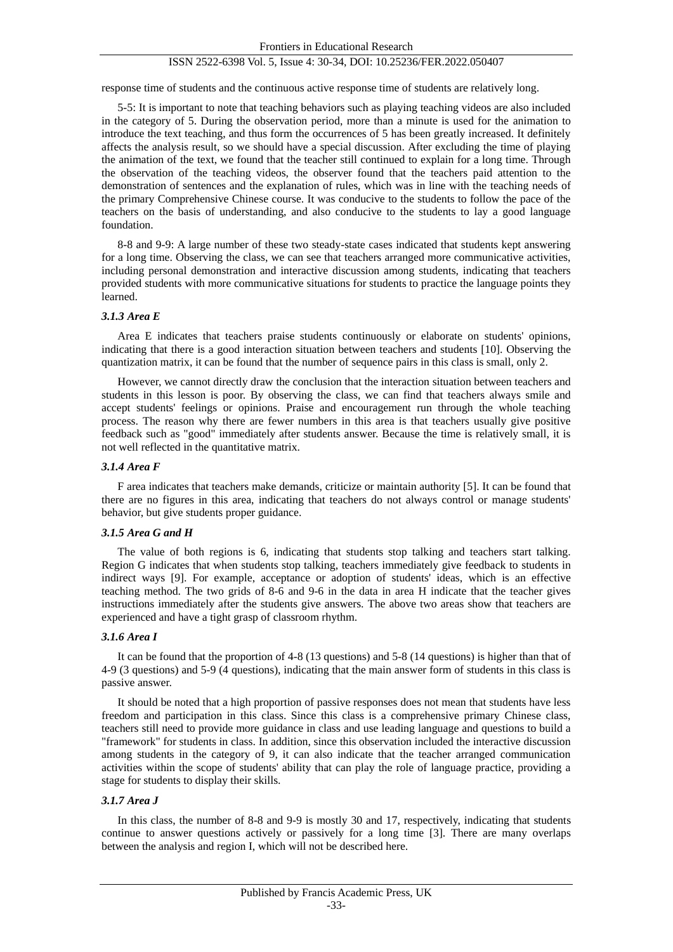## ISSN 2522-6398 Vol. 5, Issue 4: 30-34, DOI: 10.25236/FER.2022.050407

response time of students and the continuous active response time of students are relatively long.

5-5: It is important to note that teaching behaviors such as playing teaching videos are also included in the category of 5. During the observation period, more than a minute is used for the animation to introduce the text teaching, and thus form the occurrences of 5 has been greatly increased. It definitely affects the analysis result, so we should have a special discussion. After excluding the time of playing the animation of the text, we found that the teacher still continued to explain for a long time. Through the observation of the teaching videos, the observer found that the teachers paid attention to the demonstration of sentences and the explanation of rules, which was in line with the teaching needs of the primary Comprehensive Chinese course. It was conducive to the students to follow the pace of the teachers on the basis of understanding, and also conducive to the students to lay a good language foundation.

8-8 and 9-9: A large number of these two steady-state cases indicated that students kept answering for a long time. Observing the class, we can see that teachers arranged more communicative activities, including personal demonstration and interactive discussion among students, indicating that teachers provided students with more communicative situations for students to practice the language points they learned.

## *3.1.3 Area E*

Area E indicates that teachers praise students continuously or elaborate on students' opinions, indicating that there is a good interaction situation between teachers and students [10]. Observing the quantization matrix, it can be found that the number of sequence pairs in this class is small, only 2.

However, we cannot directly draw the conclusion that the interaction situation between teachers and students in this lesson is poor. By observing the class, we can find that teachers always smile and accept students' feelings or opinions. Praise and encouragement run through the whole teaching process. The reason why there are fewer numbers in this area is that teachers usually give positive feedback such as "good" immediately after students answer. Because the time is relatively small, it is not well reflected in the quantitative matrix.

## *3.1.4 Area F*

F area indicates that teachers make demands, criticize or maintain authority [5]. It can be found that there are no figures in this area, indicating that teachers do not always control or manage students' behavior, but give students proper guidance.

## *3.1.5 Area G and H*

The value of both regions is 6, indicating that students stop talking and teachers start talking. Region G indicates that when students stop talking, teachers immediately give feedback to students in indirect ways [9]. For example, acceptance or adoption of students' ideas, which is an effective teaching method. The two grids of 8-6 and 9-6 in the data in area H indicate that the teacher gives instructions immediately after the students give answers. The above two areas show that teachers are experienced and have a tight grasp of classroom rhythm.

#### *3.1.6 Area I*

It can be found that the proportion of 4-8 (13 questions) and 5-8 (14 questions) is higher than that of 4-9 (3 questions) and 5-9 (4 questions), indicating that the main answer form of students in this class is passive answer.

It should be noted that a high proportion of passive responses does not mean that students have less freedom and participation in this class. Since this class is a comprehensive primary Chinese class, teachers still need to provide more guidance in class and use leading language and questions to build a "framework" for students in class. In addition, since this observation included the interactive discussion among students in the category of 9, it can also indicate that the teacher arranged communication activities within the scope of students' ability that can play the role of language practice, providing a stage for students to display their skills.

## *3.1.7 Area J*

In this class, the number of 8-8 and 9-9 is mostly 30 and 17, respectively, indicating that students continue to answer questions actively or passively for a long time [3]. There are many overlaps between the analysis and region I, which will not be described here.